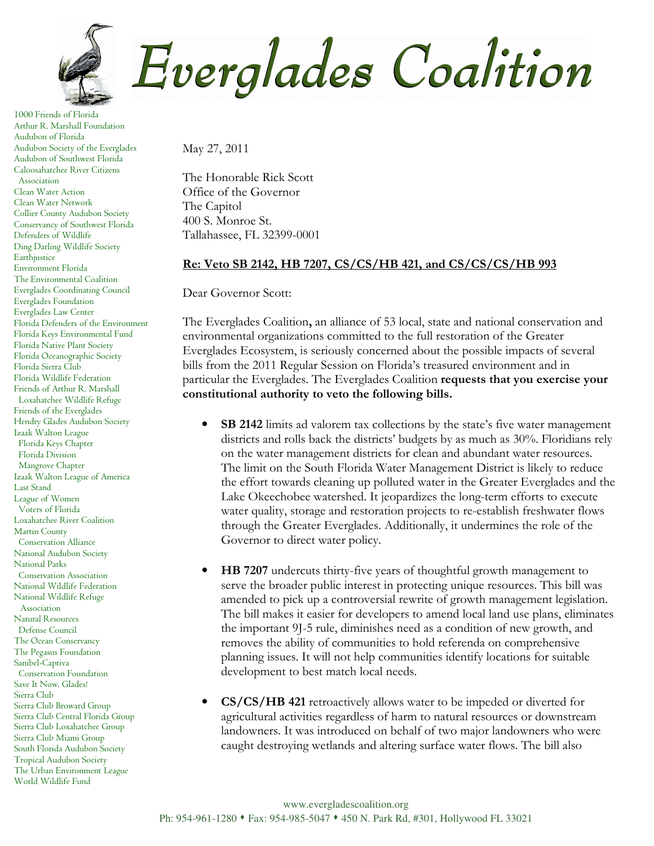

1000 Friends of Florida Arthur R. Marshall Foundation Audubon of Florida Audubon Society of the Everglades Audubon of Southwest Florida Caloosahatchee River Citizens Association Clean Water Action Clean Water Network Collier County Audubon Society Conservancy of Southwest Florida Defenders of Wildlife Ding Darling Wildlife Society Earthjustice Environment Florida The Environmental Coalition Everglades Coordinating Council Everglades Foundation Everglades Law Center Florida Defenders of the Environment Florida Keys Environmental Fund Florida Native Plant Society Florida Oceanographic Society Florida Sierra Club Florida Wildlife Federation Friends of Arthur R. Marshall Loxahatchee Wildlife Refuge Friends of the Everglades Hendry Glades Audubon Society Izaak Walton League Florida Keys Chapter Florida Division Mangrove Chapter Izaak Walton League of America Last Stand League of Women Voters of Florida Loxahatchee River Coalition Martin County Conservation Alliance National Audubon Society National Parks Conservation Association National Wildlife Federation National Wildlife Refuge Association Natural Resources Defense Council The Ocean Conservancy The Pegasus Foundation Sanibel-Captiva Conservation Foundation Save It Now, Glades! Sierra Club Sierra Club Broward Group Sierra Club Central Florida Group Sierra Club Loxahatchee Group Sierra Club Miami Group South Florida Audubon Society Tropical Audubon Society The Urban Environment League World Wildlife Fund

Everglades Coalition

May 27, 2011

The Honorable Rick Scott Office of the Governor The Capitol 400 S. Monroe St. Tallahassee, FL 32399-0001

## Re: Veto SB 2142, HB 7207, CS/CS/HB 421, and CS/CS/CS/HB 993

Dear Governor Scott:

The Everglades Coalition, an alliance of 53 local, state and national conservation and environmental organizations committed to the full restoration of the Greater Everglades Ecosystem, is seriously concerned about the possible impacts of several bills from the 2011 Regular Session on Florida's treasured environment and in particular the Everglades. The Everglades Coalition requests that you exercise your constitutional authority to veto the following bills.

- **SB 2142** limits ad valorem tax collections by the state's five water management districts and rolls back the districts' budgets by as much as 30%. Floridians rely on the water management districts for clean and abundant water resources. The limit on the South Florida Water Management District is likely to reduce the effort towards cleaning up polluted water in the Greater Everglades and the Lake Okeechobee watershed. It jeopardizes the long-term efforts to execute water quality, storage and restoration projects to re-establish freshwater flows through the Greater Everglades. Additionally, it undermines the role of the Governor to direct water policy.
- HB 7207 undercuts thirty-five years of thoughtful growth management to serve the broader public interest in protecting unique resources. This bill was amended to pick up a controversial rewrite of growth management legislation. The bill makes it easier for developers to amend local land use plans, eliminates the important 9J-5 rule, diminishes need as a condition of new growth, and removes the ability of communities to hold referenda on comprehensive planning issues. It will not help communities identify locations for suitable development to best match local needs.
- CS/CS/HB 421 retroactively allows water to be impeded or diverted for agricultural activities regardless of harm to natural resources or downstream landowners. It was introduced on behalf of two major landowners who were caught destroying wetlands and altering surface water flows. The bill also